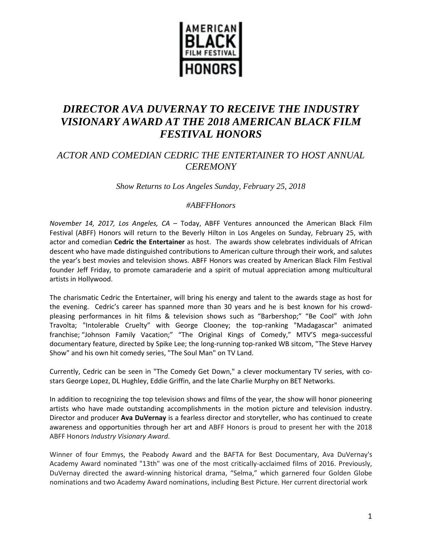

# *DIRECTOR AVA DUVERNAY TO RECEIVE THE INDUSTRY VISIONARY AWARD AT THE 2018 AMERICAN BLACK FILM FESTIVAL HONORS*

## *ACTOR AND COMEDIAN CEDRIC THE ENTERTAINER TO HOST ANNUAL CEREMONY*

*Show Returns to Los Angeles Sunday, February 25, 2018* 

### *#ABFFHonors*

*November 14, 2017, Los Angeles, CA* – Today, ABFF Ventures announced the American Black Film Festival (ABFF) Honors will return to the Beverly Hilton in Los Angeles on Sunday, February 25, with actor and comedian **Cedric the Entertainer** as host. The awards show celebrates individuals of African descent who have made distinguished contributions to American culture through their work, and salutes the year's best movies and television shows. ABFF Honors was created by American Black Film Festival founder Jeff Friday, to promote camaraderie and a spirit of mutual appreciation among multicultural artists in Hollywood.

The charismatic Cedric the Entertainer, will bring his energy and talent to the awards stage as host for the evening. Cedric's career has spanned more than 30 years and he is best known for his crowdpleasing performances in hit films & television shows such as "Barbershop;" "Be Cool" with John Travolta; "Intolerable Cruelty" with George Clooney; the top-ranking "Madagascar" animated franchise; "Johnson Family Vacation;" "The Original Kings of Comedy," MTV'S mega-successful documentary feature, directed by Spike Lee; the long-running top-ranked WB sitcom, "The Steve Harvey Show" and his own hit comedy series, "The Soul Man" on TV Land.

Currently, Cedric can be seen in "The Comedy Get Down," a clever mockumentary TV series, with costars George Lopez, DL Hughley, Eddie Griffin, and the late Charlie Murphy on BET Networks.

In addition to recognizing the top television shows and films of the year, the show will honor pioneering artists who have made outstanding accomplishments in the motion picture and television industry. Director and producer **Ava DuVernay** is a fearless director and storyteller, who has continued to create awareness and opportunities through her art and ABFF Honors is proud to present her with the 2018 ABFF Honors *Industry Visionary Award*.

Winner of four Emmys, the Peabody Award and the BAFTA for Best Documentary, Ava DuVernay's Academy Award nominated "13th" was one of the most critically-acclaimed films of 2016. Previously, DuVernay directed the award-winning historical drama, "Selma," which garnered four Golden Globe nominations and two Academy Award nominations, including Best Picture. Her current directorial work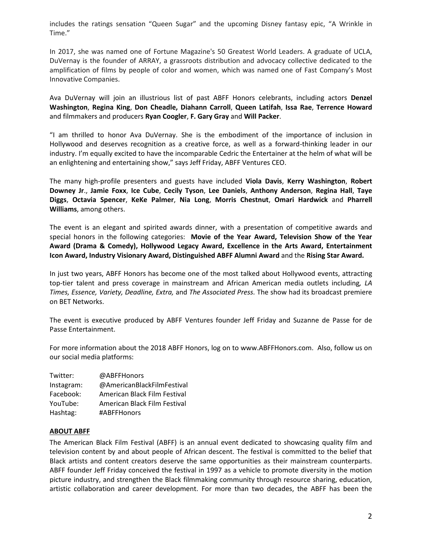includes the ratings sensation "Queen Sugar" and the upcoming Disney fantasy epic, "A Wrinkle in Time."

In 2017, she was named one of Fortune Magazine's 50 Greatest World Leaders. A graduate of UCLA, DuVernay is the founder of ARRAY, a grassroots distribution and advocacy collective dedicated to the amplification of films by people of color and women, which was named one of Fast Company's Most Innovative Companies.

Ava DuVernay will join an illustrious list of past ABFF Honors celebrants, including actors **Denzel Washington**, **Regina King**, **Don Cheadle, Diahann Carroll**, **Queen Latifah**, **Issa Rae**, **Terrence Howard** and filmmakers and producers **Ryan Coogler**, **F. Gary Gray** and **Will Packer**.

"I am thrilled to honor Ava DuVernay. She is the embodiment of the importance of inclusion in Hollywood and deserves recognition as a creative force, as well as a forward-thinking leader in our industry. I'm equally excited to have the incomparable Cedric the Entertainer at the helm of what will be an enlightening and entertaining show," says Jeff Friday, ABFF Ventures CEO.

The many high-profile presenters and guests have included **Viola Davis**, **Kerry Washington**, **Robert Downey Jr**., **Jamie Foxx**, **Ice Cube**, **Cecily Tyson**, **Lee Daniels**, **Anthony Anderson**, **Regina Hall**, **Taye Diggs**, **Octavia Spencer**, **KeKe Palmer**, **Nia Long**, **Morris Chestnut**, **Omari Hardwick** and **Pharrell Williams**, among others.

The event is an elegant and spirited awards dinner, with a presentation of competitive awards and special honors in the following categories: **Movie of the Year Award, Television Show of the Year Award (Drama & Comedy), Hollywood Legacy Award, Excellence in the Arts Award, Entertainment Icon Award, Industry Visionary Award, Distinguished ABFF Alumni Award** and the **Rising Star Award.**

In just two years, ABFF Honors has become one of the most talked about Hollywood events, attracting top-tier talent and press coverage in mainstream and African American media outlets including*, LA Times, Essence, Variety, Deadline, Extra,* and *The Associated Press.* The show had its broadcast premiere on BET Networks.

The event is executive produced by ABFF Ventures founder Jeff Friday and Suzanne de Passe for de Passe Entertainment.

For more information about the 2018 ABFF Honors, log on to www.ABFFHonors.com. Also, follow us on our social media platforms:

| Twitter:   | @ABFFHonors                  |
|------------|------------------------------|
| Instagram: | @AmericanBlackFilmFestival   |
| Facebook:  | American Black Film Festival |
| YouTube:   | American Black Film Festival |
| Hashtag:   | #ABFFHonors                  |

#### **ABOUT ABFF**

The American Black Film Festival (ABFF) is an annual event dedicated to showcasing quality film and television content by and about people of African descent. The festival is committed to the belief that Black artists and content creators deserve the same opportunities as their mainstream counterparts. ABFF founder Jeff Friday conceived the festival in 1997 as a vehicle to promote diversity in the motion picture industry, and strengthen the Black filmmaking community through resource sharing, education, artistic collaboration and career development. For more than two decades, the ABFF has been the